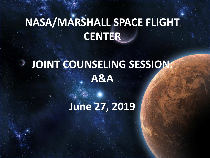# **NASA/MARSHALL SPACE FLIGHT CENTER**

#### **JOINT COUNSELING SESSION: A&A**

## **June 27, 2019**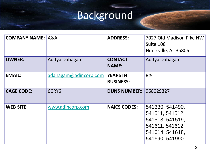# Background

| <b>COMPANY NAME: A&amp;A</b> |                       | <b>ADDRESS:</b>                     | 7027 Old Madison Pike NW<br>Suite 108<br>Huntsville, AL 35806                                                 |
|------------------------------|-----------------------|-------------------------------------|---------------------------------------------------------------------------------------------------------------|
| <b>OWNER:</b>                | Aditya Dahagam        | <b>CONTACT</b><br><b>NAME:</b>      | Aditya Dahagam                                                                                                |
| <b>EMAIL:</b>                | adahagam@adincorp.com | <b>YEARS IN</b><br><b>BUSINESS:</b> | $8\frac{1}{2}$                                                                                                |
| <b>CAGE CODE:</b>            | 6CRY6                 | <b>DUNS NUMBER:</b>                 | 968029327                                                                                                     |
| <b>WEB SITE:</b>             | www.adincorp.com      | <b>NAICS CODES:</b>                 | 541330, 541490,<br>541511, 541512,<br>541513, 541519,<br>541611, 541612,<br>541614, 541618,<br>541690, 541990 |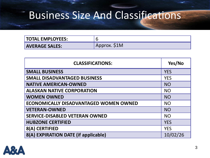#### Business Size And Classifications

| <b>TOTAL EMPLOYEES:</b> |              |
|-------------------------|--------------|
| <b>AVERAGE SALES:</b>   | Approx. \$1M |

| <b>CLASSIFICATIONS:</b>                       | Yes/No     |
|-----------------------------------------------|------------|
| <b>SMALL BUSINESS</b>                         | <b>YES</b> |
| <b>SMALL DISADVANTAGED BUSINESS</b>           | <b>YES</b> |
| <b>NATIVE AMERICAN-OWNED</b>                  | <b>NO</b>  |
| <b>ALASKAN NATIVE CORPORATION</b>             | <b>NO</b>  |
| <b>WOMEN OWNED</b>                            | <b>NO</b>  |
| <b>ECONOMICALLY DISADVANTAGED WOMEN OWNED</b> | <b>NO</b>  |
| <b>VETERAN-OWNED</b>                          | <b>NO</b>  |
| <b>SERVICE-DISABLED VETERAN OWNED</b>         | <b>NO</b>  |
| <b>HUBZONE CERTIFIED</b>                      | <b>YES</b> |
| 8(A) CERTIFIED                                | <b>YES</b> |
| 8(A) EXPIRATION DATE (if applicable)          | 10/02/26   |

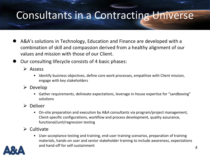#### Consultants in a Contracting Universe

- A&A's solutions in Technology, Education and Finance are developed with a combination of skill and compassion derived from a healthy alignment of our values and mission with those of our Client.
- Our consulting lifecycle consists of 4 basic phases:
	- Assess
		- Identify business objectives, define core work processes, empathize with Client mission, engage with key stakeholders
	- $\triangleright$  Develop
		- Gather requirements, delineate expectations, leverage in-house expertise for "sandboxing" solutions
	- $\triangleright$  Deliver
		- On-site preparation and execution by A&A consultants via program/project management, Client-specific configurations, workflow and process development, quality assurance, functional/unit/regression testing
	- $\triangleright$  Cultivate
		- User-acceptance testing and training, end-user training scenarios, preparation of training materials, hands-on user and senior stakeholder training to include awareness, expectations and hand-off for self-sustainment

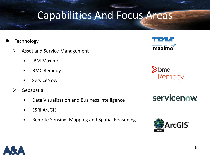5

#### Capabilities And Focus Areas

- **Technology** 
	- $\triangleright$  Asset and Service Management
		- IBM Maximo
		- BMC Remedy
		- **ServiceNow**
	- $\triangleright$  Geospatial
		- Data Visualization and Business Intelligence
		- **ESRI ArcGIS**
		- Remote Sensing, Mapping and Spatial Reasoning









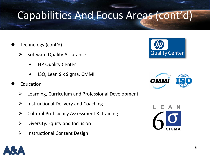## Capabilities And Focus Areas (cont'd)

- Technology (cont'd)
	- $\triangleright$  Software Quality Assurance
		- HP Quality Center
		- ISO, Lean Six Sigma, CMMI
- Education
	- $\triangleright$  Learning, Curriculum and Professional Development
	- $\triangleright$  Instructional Delivery and Coaching
	- $\triangleright$  Cultural Proficiency Assessment & Training
	- $\triangleright$  Diversity, Equity and Inclusion
	- $\triangleright$  Instructional Content Design







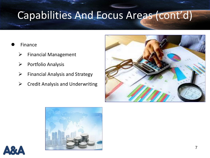## Capabilities And Focus Areas (cont'd)

#### Finance

- $\triangleright$  Financial Management
- $\triangleright$  Portfolio Analysis
- $\triangleright$  Financial Analysis and Strategy
- $\triangleright$  Credit Analysis and Underwriting





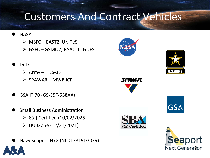#### Customers And Contract Vehicles

- **NASA** 
	- $\triangleright$  MSFC EAST2, UNITeS
	- GSFC GSMO2, PAAC III, GUEST
- DoD
	- $\triangleright$  Army ITES-3S
	- $\triangleright$  SPAWAR MWR ICP
- GSA IT 70 (GS-35F-558AA)
- Small Business Administration
	- $\geq$  8(a) Certified (10/02/2026)
	- $\triangleright$  HUBZone (12/31/2021)
- Navy Seaport-NxG (N0017819D7039)